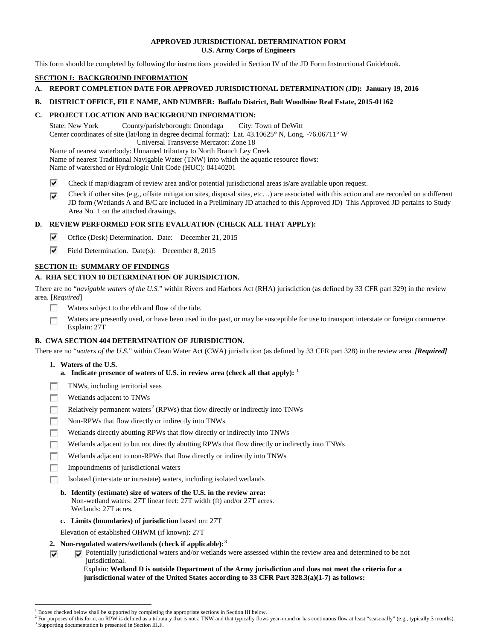### **APPROVED JURISDICTIONAL DETERMINATION FORM U.S. Army Corps of Engineers**

This form should be completed by following the instructions provided in Section IV of the JD Form Instructional Guidebook.

# **SECTION I: BACKGROUND INFORMATION**

### **A. REPORT COMPLETION DATE FOR APPROVED JURISDICTIONAL DETERMINATION (JD): January 19, 2016**

### **B. DISTRICT OFFICE, FILE NAME, AND NUMBER: Buffalo District, Bult Woodbine Real Estate, 2015-01162**

# **C. PROJECT LOCATION AND BACKGROUND INFORMATION:**

State: New York County/parish/borough: Onondaga City: Town of DeWitt Center coordinates of site (lat/long in degree decimal format): Lat. 43.10625° N, Long. -76.06711° W Universal Transverse Mercator: Zone 18 Name of nearest waterbody: Unnamed tributary to North Branch Ley Creek

Name of nearest Traditional Navigable Water (TNW) into which the aquatic resource flows:

Name of watershed or Hydrologic Unit Code (HUC): 04140201

- ⊽ Check if map/diagram of review area and/or potential jurisdictional areas is/are available upon request.
- Check if other sites (e.g., offsite mitigation sites, disposal sites, etc…) are associated with this action and are recorded on a different ⊽ JD form (Wetlands A and B/C are included in a Preliminary JD attached to this Approved JD) This Approved JD pertains to Study Area No. 1 on the attached drawings.

# **D. REVIEW PERFORMED FOR SITE EVALUATION (CHECK ALL THAT APPLY):**

- ⊽ Office (Desk) Determination. Date: December 21, 2015
- ⊽ Field Determination. Date(s): December 8, 2015

# **SECTION II: SUMMARY OF FINDINGS**

# **A. RHA SECTION 10 DETERMINATION OF JURISDICTION.**

There are no "*navigable waters of the U.S.*" within Rivers and Harbors Act (RHA) jurisdiction (as defined by 33 CFR part 329) in the review area. [*Required*]

- п Waters subject to the ebb and flow of the tide.
- Waters are presently used, or have been used in the past, or may be susceptible for use to transport interstate or foreign commerce. п Explain: 27T

# **B. CWA SECTION 404 DETERMINATION OF JURISDICTION.**

There are no "*waters of the U.S.*" within Clean Water Act (CWA) jurisdiction (as defined by 33 CFR part 328) in the review area. *[Required]*

### **1. Waters of the U.S.**

⊽

- **a. Indicate presence of waters of U.S. in review area (check all that apply): [1](#page-0-0)**
- TNWs, including territorial seas п
- Wetlands adjacent to TNWs n
- Relatively permanent waters<sup>[2](#page-0-1)</sup> (RPWs) that flow directly or indirectly into TNWs n
- m Non-RPWs that flow directly or indirectly into TNWs
- Wetlands directly abutting RPWs that flow directly or indirectly into TNWs п
- г Wetlands adjacent to but not directly abutting RPWs that flow directly or indirectly into TNWs
- п Wetlands adjacent to non-RPWs that flow directly or indirectly into TNWs
- Impoundments of jurisdictional waters n.
- Isolated (interstate or intrastate) waters, including isolated wetlands п
	- **b. Identify (estimate) size of waters of the U.S. in the review area:** Non-wetland waters: 27T linear feet: 27T width (ft) and/or 27T acres. Wetlands: 27T acres.
	- **c. Limits (boundaries) of jurisdiction** based on: 27T
	- Elevation of established OHWM (if known): 27T
- **2. Non-regulated waters/wetlands (check if applicable): [3](#page-0-2)**
	- Potentially jurisdictional waters and/or wetlands were assessed within the review area and determined to be not jurisdictional.

Explain: **Wetland D is outside Department of the Army jurisdiction and does not meet the criteria for a jurisdictional water of the United States according to 33 CFR Part 328.3(a)(1-7) as follows:**

<sup>&</sup>lt;sup>1</sup> Boxes checked below shall be supported by completing the appropriate sections in Section III below.

<span id="page-0-2"></span><span id="page-0-1"></span><span id="page-0-0"></span> $^2$  For purposes of this form, an RPW is defined as a tributary that is not a TNW and that typically flows year-round or has continuous flow at least "seasonally" (e.g., typically 3 months).<br><sup>3</sup> Supporting documentation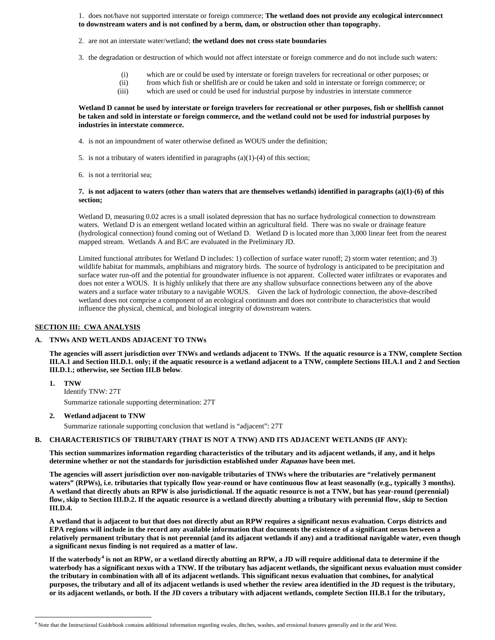1. does not/have not supported interstate or foreign commerce; **The wetland does not provide any ecological interconnect to downstream waters and is not confined by a berm, dam, or obstruction other than topography.**

- 2. are not an interstate water/wetland; **the wetland does not cross state boundaries**
- 3. the degradation or destruction of which would not affect interstate or foreign commerce and do not include such waters:
	- (i) which are or could be used by interstate or foreign travelers for recreational or other purposes; or
	- (ii) from which fish or shellfish are or could be taken and sold in interstate or foreign commerce; or
	- (iii) which are used or could be used for industrial purpose by industries in interstate commerce

#### **Wetland D cannot be used by interstate or foreign travelers for recreational or other purposes, fish or shellfish cannot be taken and sold in interstate or foreign commerce, and the wetland could not be used for industrial purposes by industries in interstate commerce.**

- 4. is not an impoundment of water otherwise defined as WOUS under the definition;
- 5. is not a tributary of waters identified in paragraphs (a)(1)-(4) of this section;
- 6. is not a territorial sea;

#### **7. is not adjacent to waters (other than waters that are themselves wetlands) identified in paragraphs (a)(1)-(6) of this section;**

Wetland D, measuring 0.02 acres is a small isolated depression that has no surface hydrological connection to downstream waters. Wetland D is an emergent wetland located within an agricultural field. There was no swale or drainage feature (hydrological connection) found coming out of Wetland D. Wetland D is located more than 3,000 linear feet from the nearest mapped stream. Wetlands A and B/C are evaluated in the Preliminary JD.

Limited functional attributes for Wetland D includes: 1) collection of surface water runoff; 2) storm water retention; and 3) wildlife habitat for mammals, amphibians and migratory birds. The source of hydrology is anticipated to be precipitation and surface water run-off and the potential for groundwater influence is not apparent. Collected water infiltrates or evaporates and does not enter a WOUS. It is highly unlikely that there are any shallow subsurface connections between any of the above waters and a surface water tributary to a navigable WOUS. Given the lack of hydrologic connection, the above-described wetland does not comprise a component of an ecological continuum and does not contribute to characteristics that would influence the physical, chemical, and biological integrity of downstream waters.

#### **SECTION III: CWA ANALYSIS**

#### **A. TNWs AND WETLANDS ADJACENT TO TNWs**

**The agencies will assert jurisdiction over TNWs and wetlands adjacent to TNWs. If the aquatic resource is a TNW, complete Section III.A.1 and Section III.D.1. only; if the aquatic resource is a wetland adjacent to a TNW, complete Sections III.A.1 and 2 and Section III.D.1.; otherwise, see Section III.B below**.

- **1. TNW**  Identify TNW: 27T Summarize rationale supporting determination: 27T
- **2. Wetland adjacent to TNW**

Summarize rationale supporting conclusion that wetland is "adjacent": 27T

### **B. CHARACTERISTICS OF TRIBUTARY (THAT IS NOT A TNW) AND ITS ADJACENT WETLANDS (IF ANY):**

**This section summarizes information regarding characteristics of the tributary and its adjacent wetlands, if any, and it helps determine whether or not the standards for jurisdiction established under Rapanos have been met.** 

**The agencies will assert jurisdiction over non-navigable tributaries of TNWs where the tributaries are "relatively permanent waters" (RPWs), i.e. tributaries that typically flow year-round or have continuous flow at least seasonally (e.g., typically 3 months). A wetland that directly abuts an RPW is also jurisdictional. If the aquatic resource is not a TNW, but has year-round (perennial) flow, skip to Section III.D.2. If the aquatic resource is a wetland directly abutting a tributary with perennial flow, skip to Section III.D.4.**

**A wetland that is adjacent to but that does not directly abut an RPW requires a significant nexus evaluation. Corps districts and EPA regions will include in the record any available information that documents the existence of a significant nexus between a relatively permanent tributary that is not perennial (and its adjacent wetlands if any) and a traditional navigable water, even though a significant nexus finding is not required as a matter of law.**

**If the waterbody[4](#page-1-0) is not an RPW, or a wetland directly abutting an RPW, a JD will require additional data to determine if the waterbody has a significant nexus with a TNW. If the tributary has adjacent wetlands, the significant nexus evaluation must consider the tributary in combination with all of its adjacent wetlands. This significant nexus evaluation that combines, for analytical purposes, the tributary and all of its adjacent wetlands is used whether the review area identified in the JD request is the tributary, or its adjacent wetlands, or both. If the JD covers a tributary with adjacent wetlands, complete Section III.B.1 for the tributary,** 

<span id="page-1-0"></span> <sup>4</sup> Note that the Instructional Guidebook contains additional information regarding swales, ditches, washes, and erosional features generally and in the arid West.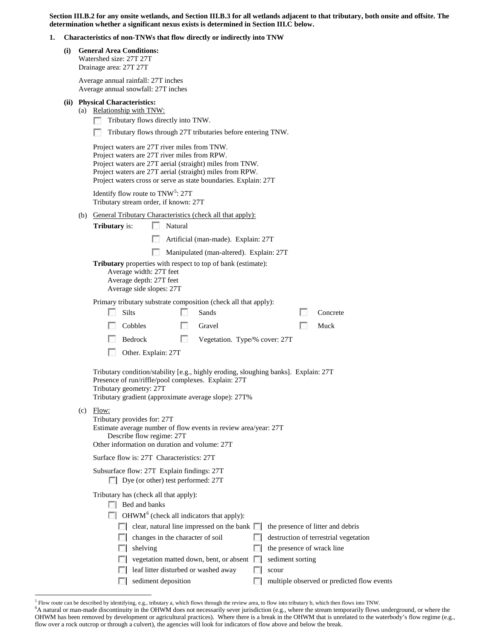**Section III.B.2 for any onsite wetlands, and Section III.B.3 for all wetlands adjacent to that tributary, both onsite and offsite. The determination whether a significant nexus exists is determined in Section III.C below.**

#### **1. Characteristics of non-TNWs that flow directly or indirectly into TNW**

**(i) General Area Conditions:** Watershed size: 27T 27T Drainage area: 27T 27T

Average annual rainfall: 27T inches

|                                                                                                                                                                                                                               |                                                                                                                                               | $11.01a5$ annual runnan. $27.1$ menes<br>Average annual snowfall: 27T inches                                                                                                                                                                                                            |  |  |  |  |  |  |
|-------------------------------------------------------------------------------------------------------------------------------------------------------------------------------------------------------------------------------|-----------------------------------------------------------------------------------------------------------------------------------------------|-----------------------------------------------------------------------------------------------------------------------------------------------------------------------------------------------------------------------------------------------------------------------------------------|--|--|--|--|--|--|
|                                                                                                                                                                                                                               |                                                                                                                                               | (ii) Physical Characteristics:<br>(a) Relationship with TNW:<br>Tributary flows directly into TNW.<br>n.                                                                                                                                                                                |  |  |  |  |  |  |
|                                                                                                                                                                                                                               | Tributary flows through 27T tributaries before entering TNW.                                                                                  |                                                                                                                                                                                                                                                                                         |  |  |  |  |  |  |
|                                                                                                                                                                                                                               |                                                                                                                                               | Project waters are 27T river miles from TNW.<br>Project waters are 27T river miles from RPW.<br>Project waters are 27T aerial (straight) miles from TNW.<br>Project waters are 27T aerial (straight) miles from RPW.<br>Project waters cross or serve as state boundaries. Explain: 27T |  |  |  |  |  |  |
|                                                                                                                                                                                                                               |                                                                                                                                               | Identify flow route to $TNW5$ : 27T<br>Tributary stream order, if known: 27T                                                                                                                                                                                                            |  |  |  |  |  |  |
|                                                                                                                                                                                                                               | <b>General Tributary Characteristics (check all that apply):</b><br>(b)<br>Natural<br>$\sim$<br><b>Tributary</b> is:                          |                                                                                                                                                                                                                                                                                         |  |  |  |  |  |  |
|                                                                                                                                                                                                                               |                                                                                                                                               | Artificial (man-made). Explain: 27T                                                                                                                                                                                                                                                     |  |  |  |  |  |  |
|                                                                                                                                                                                                                               |                                                                                                                                               | Manipulated (man-altered). Explain: 27T                                                                                                                                                                                                                                                 |  |  |  |  |  |  |
|                                                                                                                                                                                                                               |                                                                                                                                               | <b>Tributary</b> properties with respect to top of bank (estimate):<br>Average width: 27T feet<br>Average depth: 27T feet<br>Average side slopes: 27T                                                                                                                                   |  |  |  |  |  |  |
|                                                                                                                                                                                                                               | Primary tributary substrate composition (check all that apply):<br>Silts<br>Sands<br>Concrete                                                 |                                                                                                                                                                                                                                                                                         |  |  |  |  |  |  |
|                                                                                                                                                                                                                               |                                                                                                                                               | Cobbles<br>Muck<br>Gravel<br>L.                                                                                                                                                                                                                                                         |  |  |  |  |  |  |
|                                                                                                                                                                                                                               |                                                                                                                                               | Bedrock<br>n<br>Vegetation. Type/% cover: 27T                                                                                                                                                                                                                                           |  |  |  |  |  |  |
|                                                                                                                                                                                                                               |                                                                                                                                               | Other. Explain: 27T                                                                                                                                                                                                                                                                     |  |  |  |  |  |  |
| Tributary condition/stability [e.g., highly eroding, sloughing banks]. Explain: 27T<br>Presence of run/riffle/pool complexes. Explain: 27T<br>Tributary geometry: 27T<br>Tributary gradient (approximate average slope): 27T% |                                                                                                                                               |                                                                                                                                                                                                                                                                                         |  |  |  |  |  |  |
|                                                                                                                                                                                                                               |                                                                                                                                               | $(c)$ Flow:<br>Tributary provides for: 27T<br>Estimate average number of flow events in review area/year: 27T<br>Describe flow regime: 27T<br>Other information on duration and volume: 27T                                                                                             |  |  |  |  |  |  |
|                                                                                                                                                                                                                               | Surface flow is: 27T Characteristics: 27T                                                                                                     |                                                                                                                                                                                                                                                                                         |  |  |  |  |  |  |
|                                                                                                                                                                                                                               |                                                                                                                                               | Subsurface flow: 27T Explain findings: 27T<br>Dye (or other) test performed: 27T                                                                                                                                                                                                        |  |  |  |  |  |  |
|                                                                                                                                                                                                                               |                                                                                                                                               | Tributary has (check all that apply):<br>$\Box$ Bed and banks                                                                                                                                                                                                                           |  |  |  |  |  |  |
|                                                                                                                                                                                                                               | OHWM <sup>6</sup> (check all indicators that apply):<br>clear, natural line impressed on the bank $\Box$<br>the presence of litter and debris |                                                                                                                                                                                                                                                                                         |  |  |  |  |  |  |
|                                                                                                                                                                                                                               |                                                                                                                                               |                                                                                                                                                                                                                                                                                         |  |  |  |  |  |  |
|                                                                                                                                                                                                                               | changes in the character of soil<br>destruction of terrestrial vegetation                                                                     |                                                                                                                                                                                                                                                                                         |  |  |  |  |  |  |
|                                                                                                                                                                                                                               |                                                                                                                                               | shelving<br>the presence of wrack line<br>vegetation matted down, bent, or absent<br>sediment sorting<br>Ð                                                                                                                                                                              |  |  |  |  |  |  |
|                                                                                                                                                                                                                               |                                                                                                                                               | leaf litter disturbed or washed away<br>scour                                                                                                                                                                                                                                           |  |  |  |  |  |  |
|                                                                                                                                                                                                                               |                                                                                                                                               | sediment deposition<br>multiple observed or predicted flow events                                                                                                                                                                                                                       |  |  |  |  |  |  |

<sup>5</sup> Flow route can be described by identifying, e.g., tributary a, which flows through the review area, to flow into tributary b, which then flows into TNW. <sup>6</sup>

<span id="page-2-1"></span><span id="page-2-0"></span><sup>&</sup>lt;sup>6</sup>A natural or man-made discontinuity in the OHWM does not necessarily sever jurisdiction (e.g., where the stream temporarily flows underground, or where the OHWM has been removed by development or agricultural practices). Where there is a break in the OHWM that is unrelated to the waterbody's flow regime (e.g., flow over a rock outcrop or through a culvert), the agencies will look for indicators of flow above and below the break.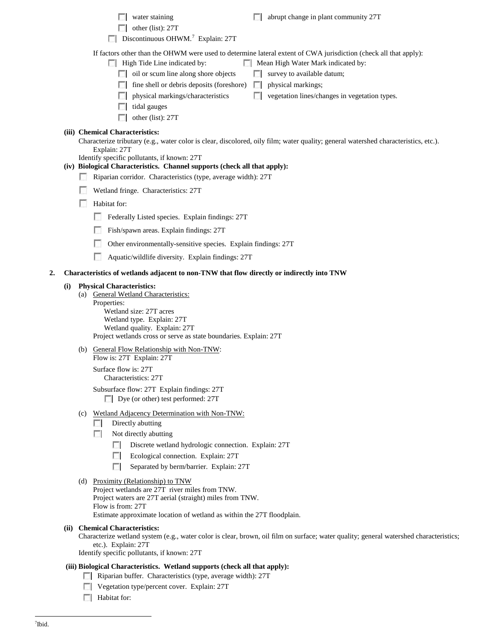|    |     |                                    | water staining<br>abrupt change in plant community 27T<br>other (list): 27T<br>Discontinuous OHWM. <sup>7</sup> Explain: 27T<br>п                                                                                                                                                                                                                                                                                                                          |
|----|-----|------------------------------------|------------------------------------------------------------------------------------------------------------------------------------------------------------------------------------------------------------------------------------------------------------------------------------------------------------------------------------------------------------------------------------------------------------------------------------------------------------|
|    |     |                                    | If factors other than the OHWM were used to determine lateral extent of CWA jurisdiction (check all that apply):<br>High Tide Line indicated by:<br>Mean High Water Mark indicated by:<br>oil or scum line along shore objects<br>survey to available datum;<br>fine shell or debris deposits (foreshore)<br>physical markings;<br>physical markings/characteristics<br>vegetation lines/changes in vegetation types.<br>tidal gauges<br>other (list): 27T |
|    |     |                                    | (iii) Chemical Characteristics:<br>Characterize tributary (e.g., water color is clear, discolored, oily film; water quality; general watershed characteristics, etc.).<br>Explain: 27T<br>Identify specific pollutants, if known: 27T<br>(iv) Biological Characteristics. Channel supports (check all that apply):<br>Riparian corridor. Characteristics (type, average width): 27T<br>Wetland fringe. Characteristics: 27T                                |
|    |     | п                                  | Habitat for:<br>Federally Listed species. Explain findings: 27T<br>Fish/spawn areas. Explain findings: 27T<br>Other environmentally-sensitive species. Explain findings: 27T<br>Aquatic/wildlife diversity. Explain findings: 27T                                                                                                                                                                                                                          |
| 2. |     |                                    | Characteristics of wetlands adjacent to non-TNW that flow directly or indirectly into TNW                                                                                                                                                                                                                                                                                                                                                                  |
|    | (i) | Properties:                        | <b>Physical Characteristics:</b><br>(a) General Wetland Characteristics:<br>Wetland size: 27T acres<br>Wetland type. Explain: 27T<br>Wetland quality. Explain: 27T<br>Project wetlands cross or serve as state boundaries. Explain: 27T                                                                                                                                                                                                                    |
|    |     |                                    | (b) General Flow Relationship with Non-TNW:<br>Flow is: 27T Explain: 27T<br>Surface flow is: 27T<br>Characteristics: 27T<br>Subsurface flow: 27T Explain findings: 27T<br>Dye (or other) test performed: 27T                                                                                                                                                                                                                                               |
|    |     | (c)<br>$\mathcal{L}$<br><b>COL</b> | Wetland Adjacency Determination with Non-TNW:<br>Directly abutting<br>Not directly abutting<br>Discrete wetland hydrologic connection. Explain: 27T<br>Ecological connection. Explain: 27T<br>$\sim$<br>Separated by berm/barrier. Explain: 27T<br>п                                                                                                                                                                                                       |
|    |     |                                    | (d) Proximity (Relationship) to TNW<br>Project wetlands are 27T river miles from TNW.<br>Project waters are 27T aerial (straight) miles from TNW.<br>Flow is from: 27T<br>Estimate approximate location of wetland as within the 27T floodplain.                                                                                                                                                                                                           |
|    |     |                                    | (ii) Chemical Characteristics:<br>Characterize wetland system (e.g., water color is clear, brown, oil film on surface; water quality; general watershed characteristics;<br>etc.). Explain: 27T<br>Identify specific pollutants, if known: 27T                                                                                                                                                                                                             |
|    |     |                                    | (iii) Biological Characteristics. Wetland supports (check all that apply):<br>Riparian buffer. Characteristics (type, average width): 27T                                                                                                                                                                                                                                                                                                                  |

- Vegetation type/percent cover. Explain: 27T
- <span id="page-3-0"></span>**Habitat for:**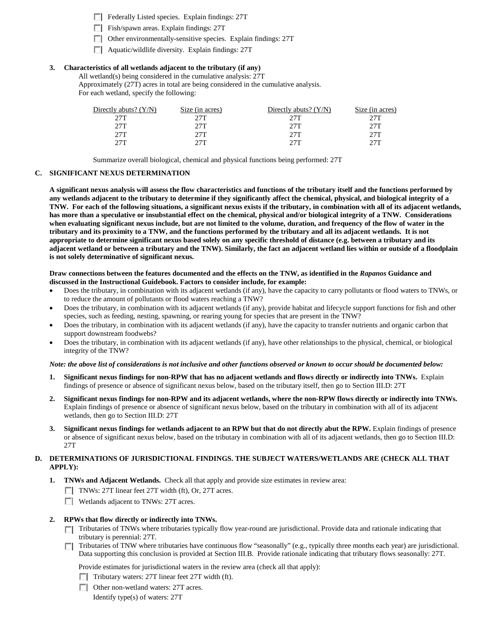Federally Listed species. Explain findings: 27T

Fish/spawn areas. Explain findings: 27T

Other environmentally-sensitive species. Explain findings: 27T

Aquatic/wildlife diversity. Explain findings: 27T

### **3. Characteristics of all wetlands adjacent to the tributary (if any)**

All wetland(s) being considered in the cumulative analysis: 27T Approximately (27T) acres in total are being considered in the cumulative analysis. For each wetland, specify the following:

| Directly abuts? $(Y/N)$ | Size (in acres) | Directly abuts? $(Y/N)$ | Size (in acres) |
|-------------------------|-----------------|-------------------------|-----------------|
| 27T                     |                 | 27T                     | 27T             |
| 27T                     | 27T             | 27T                     | 27T             |
| 27T                     | 27T             | 27T                     | 27T             |
| 27T                     | דרר             | フフT                     | 27T             |

Summarize overall biological, chemical and physical functions being performed: 27T

### **C. SIGNIFICANT NEXUS DETERMINATION**

**A significant nexus analysis will assess the flow characteristics and functions of the tributary itself and the functions performed by any wetlands adjacent to the tributary to determine if they significantly affect the chemical, physical, and biological integrity of a TNW. For each of the following situations, a significant nexus exists if the tributary, in combination with all of its adjacent wetlands, has more than a speculative or insubstantial effect on the chemical, physical and/or biological integrity of a TNW. Considerations when evaluating significant nexus include, but are not limited to the volume, duration, and frequency of the flow of water in the tributary and its proximity to a TNW, and the functions performed by the tributary and all its adjacent wetlands. It is not appropriate to determine significant nexus based solely on any specific threshold of distance (e.g. between a tributary and its adjacent wetland or between a tributary and the TNW). Similarly, the fact an adjacent wetland lies within or outside of a floodplain is not solely determinative of significant nexus.** 

#### **Draw connections between the features documented and the effects on the TNW, as identified in the** *Rapanos* **Guidance and discussed in the Instructional Guidebook. Factors to consider include, for example:**

- Does the tributary, in combination with its adjacent wetlands (if any), have the capacity to carry pollutants or flood waters to TNWs, or to reduce the amount of pollutants or flood waters reaching a TNW?
- Does the tributary, in combination with its adjacent wetlands (if any), provide habitat and lifecycle support functions for fish and other species, such as feeding, nesting, spawning, or rearing young for species that are present in the TNW?
- Does the tributary, in combination with its adjacent wetlands (if any), have the capacity to transfer nutrients and organic carbon that support downstream foodwebs?
- Does the tributary, in combination with its adjacent wetlands (if any), have other relationships to the physical, chemical, or biological integrity of the TNW?

#### *Note: the above list of considerations is not inclusive and other functions observed or known to occur should be documented below:*

- **1. Significant nexus findings for non-RPW that has no adjacent wetlands and flows directly or indirectly into TNWs.** Explain findings of presence or absence of significant nexus below, based on the tributary itself, then go to Section III.D: 27T
- **2. Significant nexus findings for non-RPW and its adjacent wetlands, where the non-RPW flows directly or indirectly into TNWs.**  Explain findings of presence or absence of significant nexus below, based on the tributary in combination with all of its adjacent wetlands, then go to Section III.D: 27T
- **3. Significant nexus findings for wetlands adjacent to an RPW but that do not directly abut the RPW.** Explain findings of presence or absence of significant nexus below, based on the tributary in combination with all of its adjacent wetlands, then go to Section III.D: 27T

### **D. DETERMINATIONS OF JURISDICTIONAL FINDINGS. THE SUBJECT WATERS/WETLANDS ARE (CHECK ALL THAT APPLY):**

- **1. TNWs and Adjacent Wetlands.** Check all that apply and provide size estimates in review area:
	- TNWs: 27T linear feet 27T width (ft), Or, 27T acres.
	- Wetlands adjacent to TNWs: 27T acres.

#### **2. RPWs that flow directly or indirectly into TNWs.**

- Tributaries of TNWs where tributaries typically flow year-round are jurisdictional. Provide data and rationale indicating that tributary is perennial: 27T.
- Tributaries of TNW where tributaries have continuous flow "seasonally" (e.g., typically three months each year) are jurisdictional. Data supporting this conclusion is provided at Section III.B. Provide rationale indicating that tributary flows seasonally: 27T.

Provide estimates for jurisdictional waters in the review area (check all that apply):

- $\Box$  Tributary waters: 27T linear feet 27T width (ft).
- Other non-wetland waters: 27T acres.

Identify type(s) of waters: 27T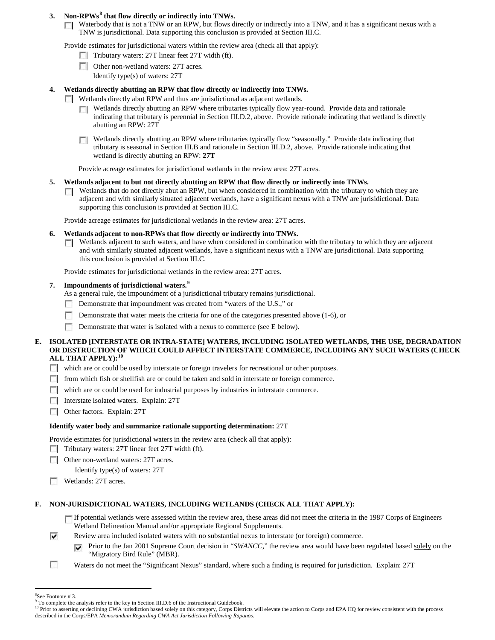# **3. Non-RPWs[8](#page-5-0) that flow directly or indirectly into TNWs.**

Waterbody that is not a TNW or an RPW, but flows directly or indirectly into a TNW, and it has a significant nexus with a TNW is jurisdictional. Data supporting this conclusion is provided at Section III.C.

Provide estimates for jurisdictional waters within the review area (check all that apply):

- $\Box$  Tributary waters: 27T linear feet 27T width (ft).
- Other non-wetland waters: 27T acres. Identify type(s) of waters: 27T
- 
- **4. Wetlands directly abutting an RPW that flow directly or indirectly into TNWs.**
	- Wetlands directly abut RPW and thus are jurisdictional as adjacent wetlands.
		- Wetlands directly abutting an RPW where tributaries typically flow year-round. Provide data and rationale n. indicating that tributary is perennial in Section III.D.2, above. Provide rationale indicating that wetland is directly abutting an RPW: 27T
		- Wetlands directly abutting an RPW where tributaries typically flow "seasonally." Provide data indicating that tributary is seasonal in Section III.B and rationale in Section III.D.2, above. Provide rationale indicating that wetland is directly abutting an RPW: **27T**

Provide acreage estimates for jurisdictional wetlands in the review area: 27T acres.

## **5. Wetlands adjacent to but not directly abutting an RPW that flow directly or indirectly into TNWs.**

Wetlands that do not directly abut an RPW, but when considered in combination with the tributary to which they are n. adjacent and with similarly situated adjacent wetlands, have a significant nexus with a TNW are jurisidictional. Data supporting this conclusion is provided at Section III.C.

Provide acreage estimates for jurisdictional wetlands in the review area: 27T acres.

## **6. Wetlands adjacent to non-RPWs that flow directly or indirectly into TNWs.**

 $\Box$  Wetlands adjacent to such waters, and have when considered in combination with the tributary to which they are adjacent and with similarly situated adjacent wetlands, have a significant nexus with a TNW are jurisdictional. Data supporting this conclusion is provided at Section III.C.

Provide estimates for jurisdictional wetlands in the review area: 27T acres.

## **7. Impoundments of jurisdictional waters. [9](#page-5-1)**

As a general rule, the impoundment of a jurisdictional tributary remains jurisdictional.

- Demonstrate that impoundment was created from "waters of the U.S.," or **F**
- Demonstrate that water meets the criteria for one of the categories presented above (1-6), or
- Demonstrate that water is isolated with a nexus to commerce (see E below).

### **E. ISOLATED [INTERSTATE OR INTRA-STATE] WATERS, INCLUDING ISOLATED WETLANDS, THE USE, DEGRADATION OR DESTRUCTION OF WHICH COULD AFFECT INTERSTATE COMMERCE, INCLUDING ANY SUCH WATERS (CHECK ALL THAT APPLY):[10](#page-5-2)**

which are or could be used by interstate or foreign travelers for recreational or other purposes.

- from which fish or shellfish are or could be taken and sold in interstate or foreign commerce.
- $\Box$  which are or could be used for industrial purposes by industries in interstate commerce.
- **Interstate isolated waters. Explain: 27T**
- Other factors.Explain: 27T

# **Identify water body and summarize rationale supporting determination:** 27T

Provide estimates for jurisdictional waters in the review area (check all that apply):

- Tributary waters: 27T linear feet 27T width (ft).
- **Other non-wetland waters: 27T acres.**

Identify type(s) of waters: 27T

п Wetlands: 27T acres.

# **F. NON-JURISDICTIONAL WATERS, INCLUDING WETLANDS (CHECK ALL THAT APPLY):**

If potential wetlands were assessed within the review area, these areas did not meet the criteria in the 1987 Corps of Engineers Wetland Delineation Manual and/or appropriate Regional Supplements.

- ⊽ Review area included isolated waters with no substantial nexus to interstate (or foreign) commerce.
	- Prior to the Jan 2001 Supreme Court decision in "*SWANCC*," the review area would have been regulated based solely on the ⊽ "Migratory Bird Rule" (MBR).
- П Waters do not meet the "Significant Nexus" standard, where such a finding is required for jurisdiction. Explain: 27T

 $\frac{1}{8}$ 

<span id="page-5-1"></span><span id="page-5-0"></span> ${}^{8}$ See Footnote # 3.<br>9 To complete the analysis refer to the key in Section III.D.6 of the Instructional Guidebook.

<span id="page-5-2"></span><sup>&</sup>lt;sup>10</sup> Prior to asserting or declining CWA jurisdiction based solely on this category, Corps Districts will elevate the action to Corps and EPA HQ for review consistent with the process described in the Corps/EPA *Memorandum Regarding CWA Act Jurisdiction Following Rapanos.*